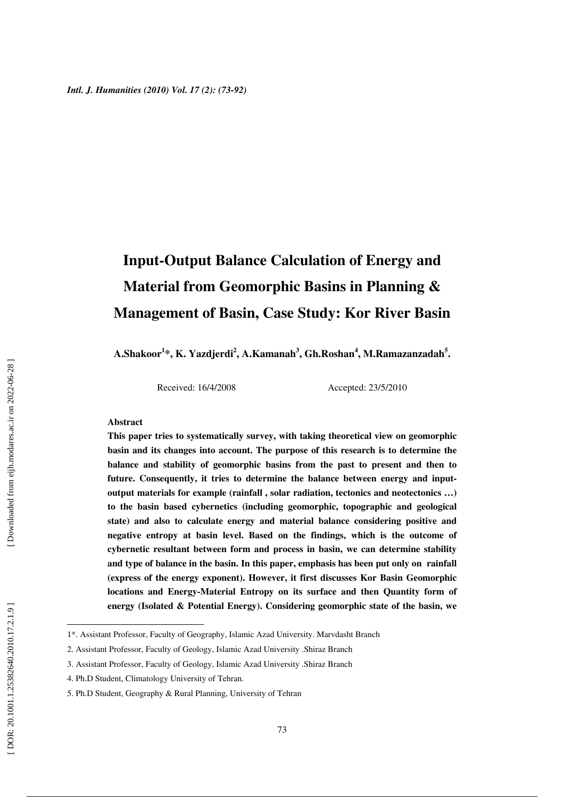## **Input-Output Balance Calculation of Energy and Material from Geomorphic Basins in Planning & Management of Basin, Case Study: Kor River Basin**

**A.Shakoor 1 \*, K. Yazdjerdi 2 , A.Kamanah 3 , Gh.Roshan 4 , M.Ramazanzadah 5 .** 

Received: 16/4/2008 Accepted: 23/5/2010

#### **Abstract**

**This paper tries to systematically survey, with taking theoretical view on geomorphic basin and its changes into account. The purpose of this research is to determine the balance and stability of geomorphic basins from the past to present and then to future. Consequently, it tries to determine the balance between energy and inputoutput materials for example (rainfall , solar radiation, tectonics and neotectonics …) to the basin based cybernetics (including geomorphic, topographic and geological state) and also to calculate energy and material balance considering positive and negative entropy at basin level. Based on the findings, which is the outcome of cybernetic resultant between form and process in basin, we can determine stability and type of balance in the basin. In this paper, emphasis has been put only on rainfall (express of the energy exponent). However, it first discusses Kor Basin Geomorphic locations and Energy-Material Entropy on its surface and then Quantity form of energy (Isolated & Potential Energy). Considering geomorphic state of the basin, we** 

 $\overline{a}$ 

<sup>1\*.</sup> Assistant Professor, Faculty of Geography, Islamic Azad University. Marvdasht Branch

<sup>2.</sup> Assistant Professor, Faculty of Geology, Islamic Azad University .Shiraz Branch

<sup>3.</sup> Assistant Professor, Faculty of Geology, Islamic Azad University .Shiraz Branch

<sup>4.</sup> Ph.D Student, Climatology University of Tehran.

<sup>5.</sup> Ph.D Student, Geography & Rural Planning, University of Tehran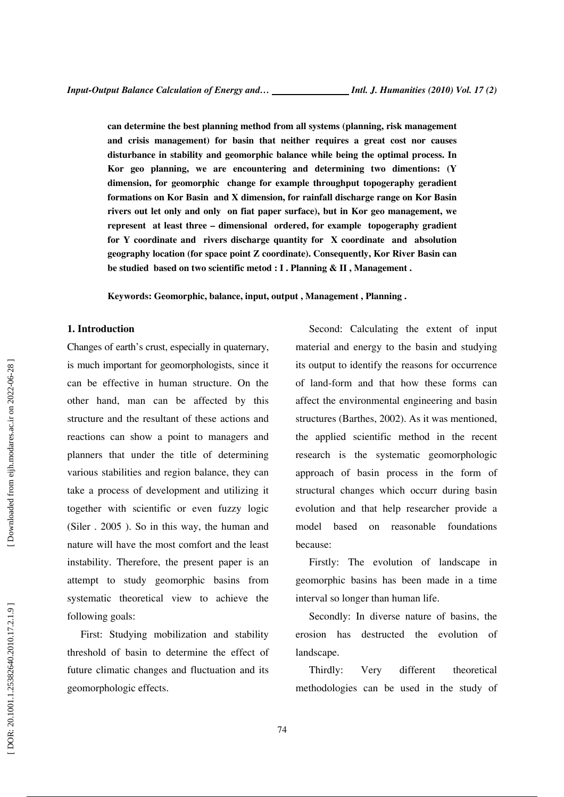**can determine the best planning method from all systems (planning, risk management and crisis management) for basin that neither requires a great cost nor causes disturbance in stability and geomorphic balance while being the optimal process. In Kor geo planning, we are encountering and determining two dimentions: (Y dimension, for geomorphic change for example throughput topogeraphy geradient formations on Kor Basin and X dimension, for rainfall discharge range on Kor Basin rivers out let only and only on fiat paper surface), but in Kor geo management, we represent at least three – dimensional ordered, for example topogeraphy gradient for Y coordinate and rivers discharge quantity for X coordinate and absolution geography location (for space point Z coordinate). Consequently, Kor River Basin can be studied based on two scientific metod : I . Planning & II , Management .** 

**Keywords: Geomorphic, balance, input, output , Management , Planning .** 

#### **1. Introduction**

Changes of earth's crust, especially in quaternary, is much important for geomorphologists, since it can be effective in human structure. On the other hand, man can be affected by this structure and the resultant of these actions and reactions can show a point to managers and planners that under the title of determining various stabilities and region balance, they can take a process of development and utilizing it together with scientific or even fuzzy logic (Siler . 2005 ). So in this way, the human and nature will have the most comfort and the least instability. Therefore, the present paper is an attempt to study geomorphic basins from systematic theoretical view to achieve the following goals:

First: Studying mobilization and stability threshold of basin to determine the effect of future climatic changes and fluctuation and its geomorphologic effects.

Second: Calculating the extent of input material and energy to the basin and studying its output to identify the reasons for occurrence of land-form and that how these forms can affect the environmental engineering and basin structures (Barthes, 2002). As it was mentioned, the applied scientific method in the recent research is the systematic geomorphologic approach of basin process in the form of structural changes which occurr during basin evolution and that help researcher provide a model based on reasonable foundations because:

Firstly: The evolution of landscape in geomorphic basins has been made in a time interval so longer than human life.

Secondly: In diverse nature of basins, the erosion has destructed the evolution of landscape.

Thirdly: Very different theoretical methodologies can be used in the study of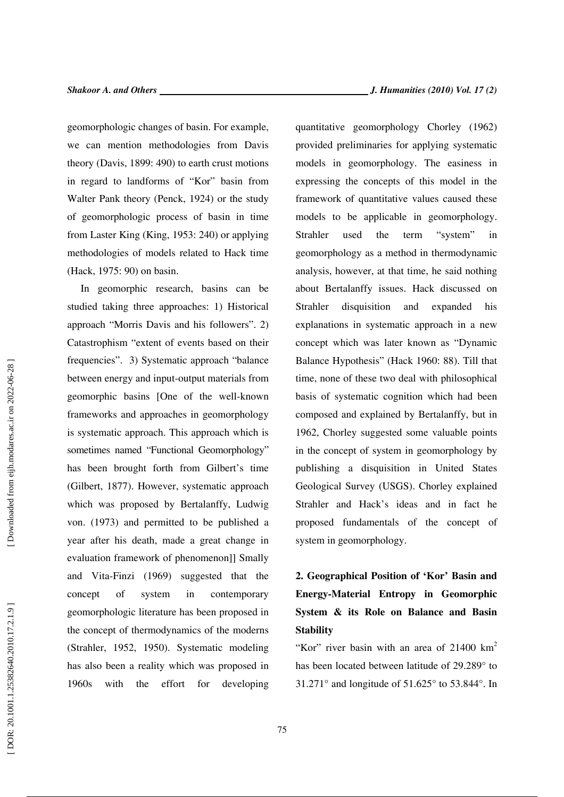geomorphologic changes of basin. For example, we can mention methodologies from Davis theory (Davis, 1899: 490) to earth crust motions in regard to landforms of "Kor" basin from Walter Pank theory (Penck, 1924) or the study of geomorphologic process of basin in time from Laster King (King, 1953: 240) or applying methodologies of models related to Hack time (Hack, 1975: 90) on basin.

In geomorphic research, basins can be studied taking three approaches: 1) Historical approach "Morris Davis and his followers". 2) Catastrophism "extent of events based on their frequencies". 3) Systematic approach "balance between energy and input-output materials from geomorphic basins [One of the well-known frameworks and approaches in geomorphology is systematic approach. This approach which is sometimes named "Functional Geomorphology" has been brought forth from Gilbert's time (Gilbert, 1877). However, systematic approach which was proposed by Bertalanffy, Ludwig von. (1973) and permitted to be published a year after his death, made a great change in evaluation framework of phenomenon]] Smally and Vita-Finzi (1969) suggested that the concept of system in contemporary geomorphologic literature has been proposed in the concept of thermodynamics of the moderns (Strahler, 1952, 1950). Systematic modeling has also been a reality which was proposed in 1960s with the effort for developing quantitative geomorphology Chorley (1962) provided preliminaries for applying systematic models in geomorphology. The easiness in expressing the concepts of this model in the framework of quantitative values caused these models to be applicable in geomorphology. Strahler used the term "system" in geomorphology as a method in thermodynamic analysis, however, at that time, he said nothing about Bertalanffy issues. Hack discussed on Strahler disquisition and expanded his explanations in systematic approach in a new concept which was later known as "Dynamic Balance Hypothesis" (Hack 1960: 88). Till that time, none of these two deal with philosophical basis of systematic cognition which had been composed and explained by Bertalanffy, but in 1962, Chorley suggested some valuable points in the concept of system in geomorphology by publishing a disquisition in United States Geological Survey (USGS). Chorley explained Strahler and Hack's ideas and in fact he proposed fundamentals of the concept of system in geomorphology.

## **2. Geographical Position of 'Kor' Basin and Energy-Material Entropy in Geomorphic System & its Role on Balance and Basin Stability**

"Kor" river basin with an area of  $21400 \text{ km}^2$ has been located between latitude of 29.289° to 31.271° and longitude of 51.625° to 53.844°. In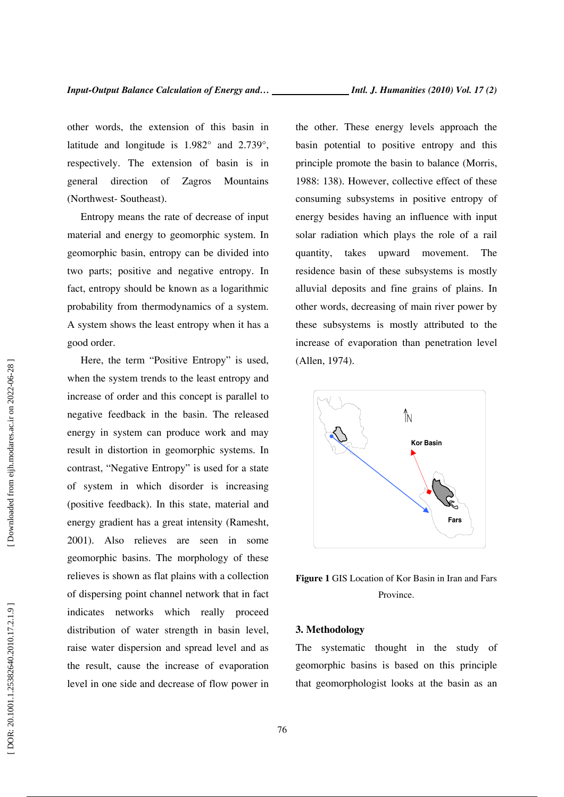other words, the extension of this basin in latitude and longitude is 1.982° and 2.739°, respectively. The extension of basin is in general direction of Zagros Mountains (Northwest- Southeast).

Entropy means the rate of decrease of input material and energy to geomorphic system. In geomorphic basin, entropy can be divided into two parts; positive and negative entropy. In fact, entropy should be known as a logarithmic probability from thermodynamics of a system. A system shows the least entropy when it has a good order.

Here, the term "Positive Entropy" is used, when the system trends to the least entropy and increase of order and this concept is parallel to negative feedback in the basin. The released energy in system can produce work and may result in distortion in geomorphic systems. In contrast, "Negative Entropy" is used for a state of system in which disorder is increasing (positive feedback). In this state, material and energy gradient has a great intensity (Ramesht, 2001). Also relieves are seen in some geomorphic basins. The morphology of these relieves is shown as flat plains with a collection of dispersing point channel network that in fact indicates networks which really proceed distribution of water strength in basin level, raise water dispersion and spread level and as the result, cause the increase of evaporation level in one side and decrease of flow power in the other. These energy levels approach the basin potential to positive entropy and this principle promote the basin to balance (Morris, 1988: 138). However, collective effect of these consuming subsystems in positive entropy of energy besides having an influence with input solar radiation which plays the role of a rail quantity, takes upward movement. The residence basin of these subsystems is mostly alluvial deposits and fine grains of plains. In other words, decreasing of main river power by these subsystems is mostly attributed to the increase of evaporation than penetration level (Allen, 1974).



**Figure 1** GIS Location of Kor Basin in Iran and Fars Province.

#### **3. Methodology**

The systematic thought in the study of geomorphic basins is based on this principle that geomorphologist looks at the basin as an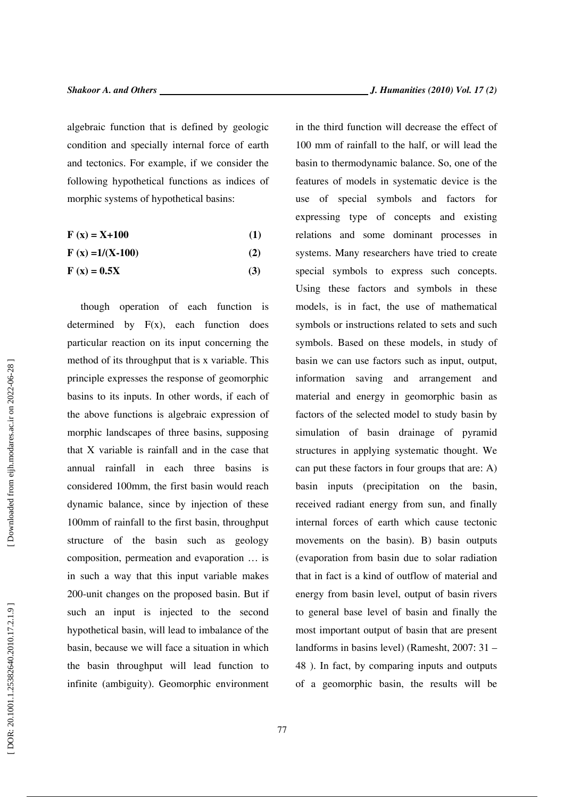algebraic function that is defined by geologic condition and specially internal force of earth and tectonics. For example, if we consider the following hypothetical functions as indices of morphic systems of hypothetical basins:

$$
\mathbf{F}\left(\mathbf{x}\right) = \mathbf{X} + \mathbf{100} \tag{1}
$$

$$
F(x) = 1/(X-100)
$$
 (2)

$$
\mathbf{F}\left(\mathbf{x}\right) = \mathbf{0.5X} \tag{3}
$$

though operation of each function is determined by  $F(x)$ , each function does particular reaction on its input concerning the method of its throughput that is x variable. This principle expresses the response of geomorphic basins to its inputs. In other words, if each of the above functions is algebraic expression of morphic landscapes of three basins, supposing that X variable is rainfall and in the case that annual rainfall in each three basins is considered 100mm, the first basin would reach dynamic balance, since by injection of these 100mm of rainfall to the first basin, throughput structure of the basin such as geology composition, permeation and evaporation … is in such a way that this input variable makes 200-unit changes on the proposed basin. But if such an input is injected to the second hypothetical basin, will lead to imbalance of the basin, because we will face a situation in which the basin throughput will lead function to infinite (ambiguity). Geomorphic environment in the third function will decrease the effect of 100 mm of rainfall to the half, or will lead the basin to thermodynamic balance. So, one of the features of models in systematic device is the use of special symbols and factors for expressing type of concepts and existing relations and some dominant processes in systems. Many researchers have tried to create special symbols to express such concepts. Using these factors and symbols in these models, is in fact, the use of mathematical symbols or instructions related to sets and such symbols. Based on these models, in study of basin we can use factors such as input, output, information saving and arrangement and material and energy in geomorphic basin as factors of the selected model to study basin by simulation of basin drainage of pyramid structures in applying systematic thought. We can put these factors in four groups that are: A) basin inputs (precipitation on the basin, received radiant energy from sun, and finally internal forces of earth which cause tectonic movements on the basin). B) basin outputs (evaporation from basin due to solar radiation that in fact is a kind of outflow of material and energy from basin level, output of basin rivers to general base level of basin and finally the most important output of basin that are present landforms in basins level) (Ramesht, 2007: 31 – 48 ). In fact, by comparing inputs and outputs of a geomorphic basin, the results will be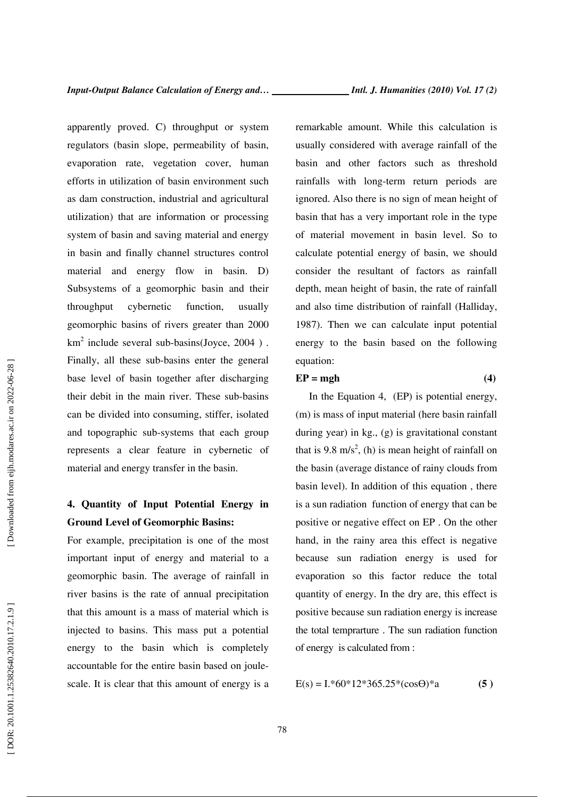apparently proved. C) throughput or system regulators (basin slope, permeability of basin, evaporation rate, vegetation cover, human efforts in utilization of basin environment such as dam construction, industrial and agricultural utilization) that are information or processing system of basin and saving material and energy in basin and finally channel structures control material and energy flow in basin. D) Subsystems of a geomorphic basin and their throughput cybernetic function, usually geomorphic basins of rivers greater than 2000  $km<sup>2</sup>$  include several sub-basins(Joyce, 2004). Finally, all these sub-basins enter the general base level of basin together after discharging their debit in the main river. These sub-basins can be divided into consuming, stiffer, isolated and topographic sub-systems that each group represents a clear feature in cybernetic of material and energy transfer in the basin.

## **4. Quantity of Input Potential Energy in Ground Level of Geomorphic Basins:**

For example, precipitation is one of the most important input of energy and material to a geomorphic basin. The average of rainfall in river basins is the rate of annual precipitation that this amount is a mass of material which is injected to basins. This mass put a potential energy to the basin which is completely accountable for the entire basin based on joulescale. It is clear that this amount of energy is a remarkable amount. While this calculation is usually considered with average rainfall of the basin and other factors such as threshold rainfalls with long-term return periods are ignored. Also there is no sign of mean height of basin that has a very important role in the type of material movement in basin level. So to calculate potential energy of basin, we should consider the resultant of factors as rainfall depth, mean height of basin, the rate of rainfall and also time distribution of rainfall (Halliday, 1987). Then we can calculate input potential energy to the basin based on the following equation:

#### $EP = mgh$  (4)

In the Equation 4, (EP) is potential energy, (m) is mass of input material (here basin rainfall during year) in kg., (g) is gravitational constant that is 9.8 m/s<sup>2</sup>, (h) is mean height of rainfall on the basin (average distance of rainy clouds from basin level). In addition of this equation , there is a sun radiation function of energy that can be positive or negative effect on EP . On the other hand, in the rainy area this effect is negative because sun radiation energy is used for evaporation so this factor reduce the total quantity of energy. In the dry are, this effect is positive because sun radiation energy is increase the total temprarture . The sun radiation function of energy is calculated from :

$$
E(s) = I.*60*12*365.25*(cos\Theta)*a
$$
 (5)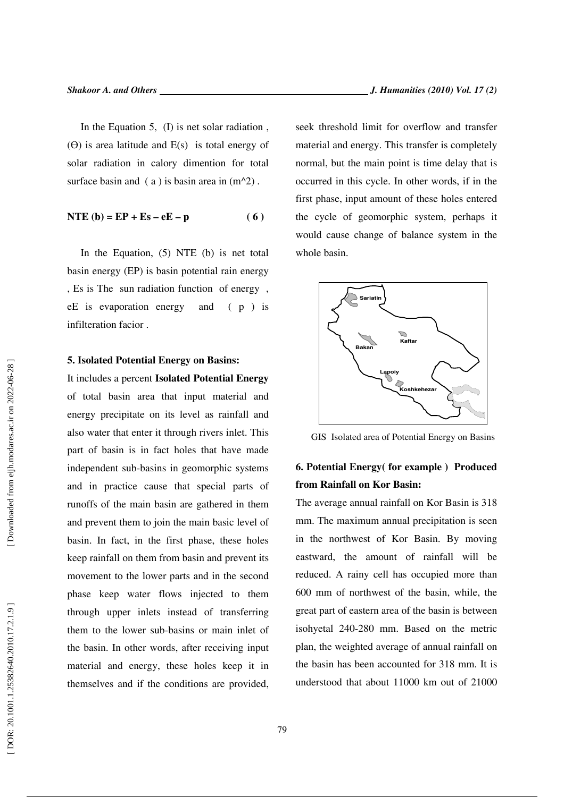In the Equation 5, (I) is net solar radiation , ( Ө) is area latitude and E(s) is total energy of solar radiation in calory dimention for total surface basin and  $(a)$  is basin area in  $(m^2)$ .

$$
NTE (b) = EP + Es - eE - p \tag{6}
$$

In the Equation, (5) NTE (b) is net total basin energy (EP) is basin potential rain energy , Es is The sun radiation function of energy , eE is evaporation energy and ( p ) is infilteration facior .

#### **5. Isolated Potential Energy on Basins:**

It includes a percent **Isolated Potential Energy**  of total basin area that input material and energy precipitate on its level as rainfall and also water that enter it through rivers inlet. This part of basin is in fact holes that have made independent sub-basins in geomorphic systems and in practice cause that special parts of runoffs of the main basin are gathered in them and prevent them to join the main basic level of basin. In fact, in the first phase, these holes keep rainfall on them from basin and prevent its movement to the lower parts and in the second phase keep water flows injected to them through upper inlets instead of transferring them to the lower sub-basins or main inlet of the basin. In other words, after receiving input material and energy, these holes keep it in themselves and if the conditions are provided, seek threshold limit for overflow and transfer material and energy. This transfer is completely normal, but the main point is time delay that is occurred in this cycle. In other words, if in the first phase, input amount of these holes entered the cycle of geomorphic system, perhaps it would cause change of balance system in the whole basin.



GIS Isolated area of Potential Energy on Basins

## **6. Potential Energy( for example ) Produced from Rainfall on Kor Basin:**

The average annual rainfall on Kor Basin is 318 mm. The maximum annual precipitation is seen in the northwest of Kor Basin. By moving eastward, the amount of rainfall will be reduced. A rainy cell has occupied more than 600 mm of northwest of the basin, while, the great part of eastern area of the basin is between isohyetal 240-280 mm. Based on the metric plan, the weighted average of annual rainfall on the basin has been accounted for 318 mm. It is understood that about 11000 km out of 21000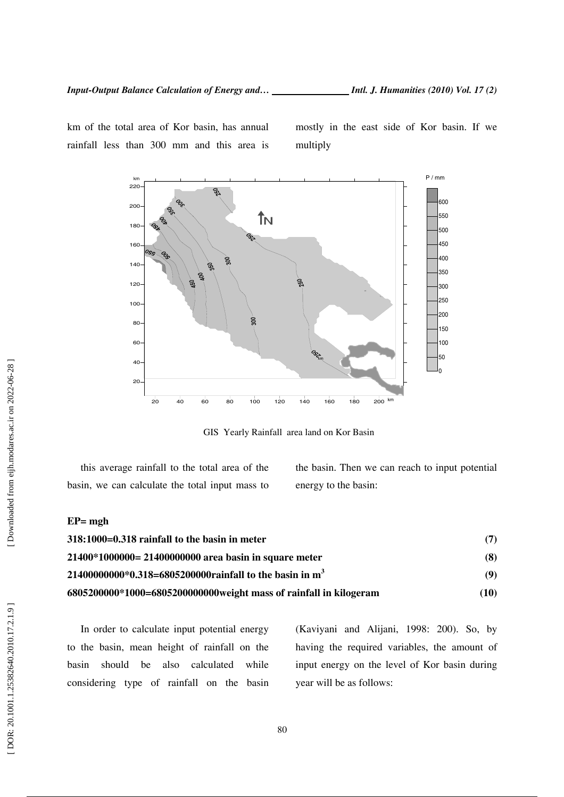km of the total area of Kor basin, has annual rainfall less than 300 mm and this area is mostly in the east side of Kor basin. If we multiply



GIS Yearly Rainfall area land on Kor Basin

this average rainfall to the total area of the basin, we can calculate the total input mass to

the basin. Then we can reach to input potential energy to the basin:

#### **EP= mgh**

| 318:1000=0.318 rainfall to the basin in meter                       | (7)  |
|---------------------------------------------------------------------|------|
| 21400*1000000= 21400000000 area basin in square meter               | (8)  |
| 21400000000*0.318=6805200000rainfall to the basin in m <sup>3</sup> | (9)  |
| 6805200000*1000=6805200000000weight mass of rainfall in kilogeram   | (10) |

In order to calculate input potential energy to the basin, mean height of rainfall on the basin should be also calculated while considering type of rainfall on the basin (Kaviyani and Alijani, 1998: 200). So, by having the required variables, the amount of input energy on the level of Kor basin during year will be as follows: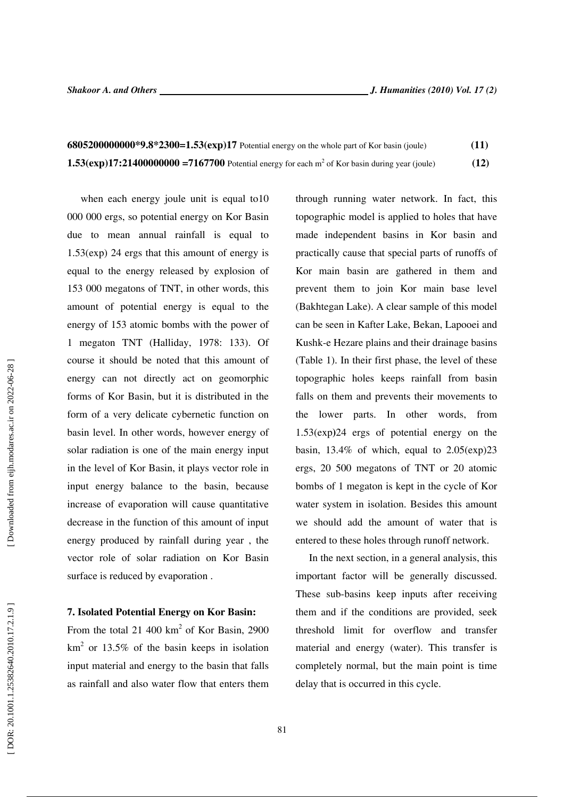| 68052000000000 <sup>*</sup> 9.8 <sup>*</sup> 2300=1.53(exp)17 Potential energy on the whole part of Kor basin (joule) | (11) |
|-----------------------------------------------------------------------------------------------------------------------|------|
| 1.53( $\exp$ )17:21400000000 = 7167700 Potential energy for each m <sup>2</sup> of Kor basin during year (joule)      | (12) |

when each energy joule unit is equal to10 000 000 ergs, so potential energy on Kor Basin due to mean annual rainfall is equal to 1.53(exp) 24 ergs that this amount of energy is equal to the energy released by explosion of 153 000 megatons of TNT, in other words, this amount of potential energy is equal to the energy of 153 atomic bombs with the power of 1 megaton TNT (Halliday, 1978: 133). Of course it should be noted that this amount of energy can not directly act on geomorphic forms of Kor Basin, but it is distributed in the form of a very delicate cybernetic function on basin level. In other words, however energy of solar radiation is one of the main energy input in the level of Kor Basin, it plays vector role in input energy balance to the basin, because increase of evaporation will cause quantitative decrease in the function of this amount of input energy produced by rainfall during year , the vector role of solar radiation on Kor Basin surface is reduced by evaporation .

#### **7. Isolated Potential Energy on Kor Basin:**

From the total 21 400  $km^2$  of Kor Basin, 2900  $km<sup>2</sup>$  or 13.5% of the basin keeps in isolation input material and energy to the basin that falls as rainfall and also water flow that enters them

through running water network. In fact, this topographic model is applied to holes that have made independent basins in Kor basin and practically cause that special parts of runoffs of Kor main basin are gathered in them and prevent them to join Kor main base level (Bakhtegan Lake). A clear sample of this model can be seen in Kafter Lake, Bekan, Lapooei and Kushk-e Hezare plains and their drainage basins (Table 1). In their first phase, the level of these topographic holes keeps rainfall from basin falls on them and prevents their movements to the lower parts. In other words, from 1.53(exp **)**24 ergs of potential energy on the basin,  $13.4\%$  of which, equal to  $2.05$ (exp) $23$ ergs, 20 500 megatons of TNT or 20 atomic bombs of 1 megaton is kept in the cycle of Kor water system in isolation. Besides this amount we should add the amount of water that is entered to these holes through runoff network.

In the next section, in a general analysis, this important factor will be generally discussed. These sub-basins keep inputs after receiving them and if the conditions are provided, seek threshold limit for overflow and transfer material and energy (water). This transfer is completely normal, but the main point is time delay that is occurred in this cycle.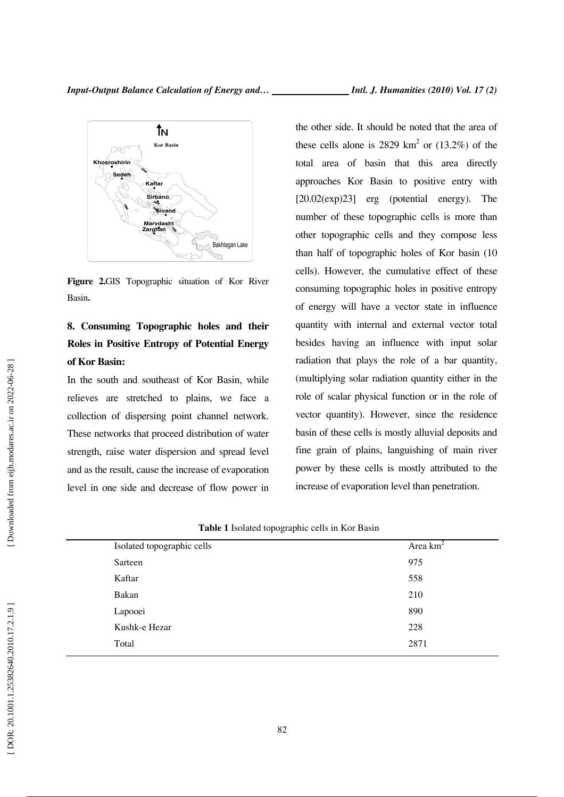

**Figure 2.**GIS Topographic situation of Kor River Basin**.** 

## **8. Consuming Topographic holes and their Roles in Positive Entropy of Potential Energy of Kor Basin:**

In the south and southeast of Kor Basin, while relieves are stretched to plains, we face a collection of dispersing point channel network. These networks that proceed distribution of water strength, raise water dispersion and spread level and as the result, cause the increase of evaporation level in one side and decrease of flow power in the other side. It should be noted that the area of these cells alone is 2829  $km^2$  or (13.2%) of the total area of basin that this area directly approaches Kor Basin to positive entry with [20.02(exp)23] erg (potential energy). The number of these topographic cells is more than other topographic cells and they compose less than half of topographic holes of Kor basin (10 cells). However, the cumulative effect of these consuming topographic holes in positive entropy of energy will have a vector state in influence quantity with internal and external vector total besides having an influence with input solar radiation that plays the role of a bar quantity, (multiplying solar radiation quantity either in the role of scalar physical function or in the role of vector quantity). However, since the residence basin of these cells is mostly alluvial deposits and fine grain of plains, languishing of main river power by these cells is mostly attributed to the increase of evaporation level than penetration.

| Isolated topographic cells | Area $km^2$ |
|----------------------------|-------------|
| Sarteen                    | 975         |
| Kaftar                     | 558         |
| Bakan                      | 210         |
| Lapooei                    | 890         |
| Kushk-e Hezar              | 228         |
| Total                      | 2871        |
|                            |             |

|  | Table 1 Isolated topographic cells in Kor Basin |  |  |
|--|-------------------------------------------------|--|--|
|  |                                                 |  |  |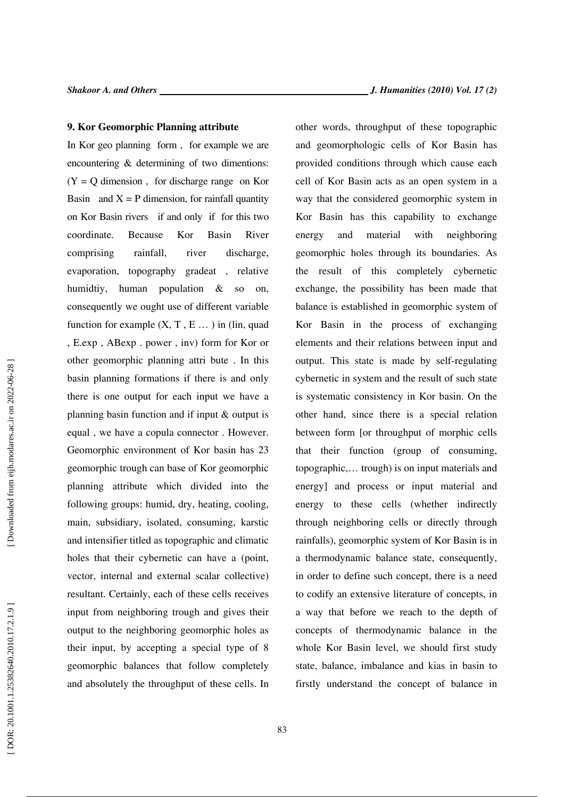#### **9. Kor Geomorphic Planning attribute**

In Kor geo planning form , for example we are encountering & determining of two dimentions:  $(Y = Q$  dimension, for discharge range on Kor Basin and  $X = P$  dimension, for rainfall quantity on Kor Basin rivers if and only if for this two coordinate. Because Kor Basin River comprising rainfall, river discharge, evaporation, topography gradeat , relative humidtiy, human population & so on, consequently we ought use of different variable function for example  $(X, T, E...)$  in (lin, quad , E.exp , ABexp . power , inv) form for Kor or other geomorphic planning attri bute . In this basin planning formations if there is and only there is one output for each input we have a planning basin function and if input & output is equal , we have a copula connector . However. Geomorphic environment of Kor basin has 23 geomorphic trough can base of Kor geomorphic planning attribute which divided into the following groups: humid, dry, heating, cooling, main, subsidiary, isolated, consuming, karstic and intensifier titled as topographic and climatic holes that their cybernetic can have a (point, vector, internal and external scalar collective) resultant. Certainly, each of these cells receives input from neighboring trough and gives their output to the neighboring geomorphic holes as their input, by accepting a special type of 8 geomorphic balances that follow completely and absolutely the throughput of these cells. In other words, throughput of these topographic and geomorphologic cells of Kor Basin has provided conditions through which cause each cell of Kor Basin acts as an open system in a way that the considered geomorphic system in Kor Basin has this capability to exchange energy and material with neighboring geomorphic holes through its boundaries. As the result of this completely cybernetic exchange, the possibility has been made that balance is established in geomorphic system of Kor Basin in the process of exchanging elements and their relations between input and output. This state is made by self-regulating cybernetic in system and the result of such state is systematic consistency in Kor basin. On the other hand, since there is a special relation between form [or throughput of morphic cells that their function (group of consuming, topographic,… trough) is on input materials and energy] and process or input material and energy to these cells (whether indirectly through neighboring cells or directly through rainfalls), geomorphic system of Kor Basin is in a thermodynamic balance state, consequently, in order to define such concept, there is a need to codify an extensive literature of concepts, in a way that before we reach to the depth of concepts of thermodynamic balance in the whole Kor Basin level, we should first study state, balance, imbalance and kias in basin to firstly understand the concept of balance in

83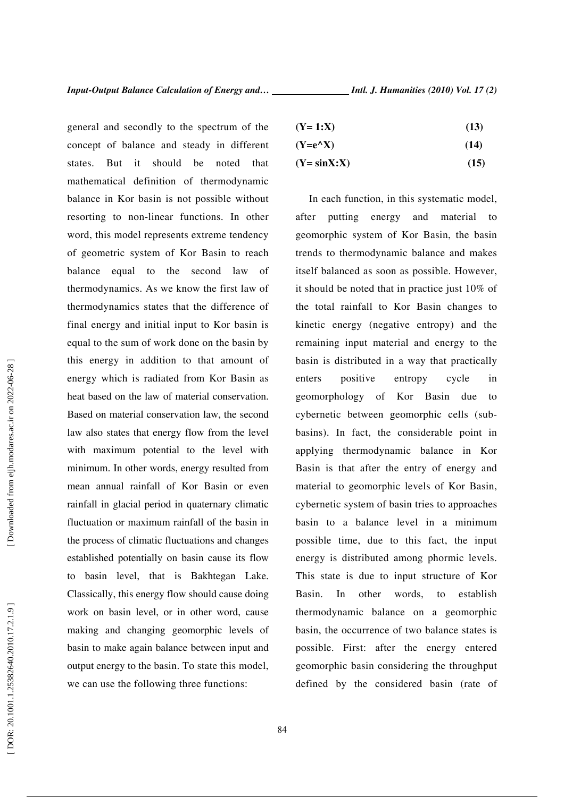general and secondly to the spectrum of the concept of balance and steady in different states. But it should be noted that mathematical definition of thermodynamic balance in Kor basin is not possible without resorting to non-linear functions. In other word, this model represents extreme tendency of geometric system of Kor Basin to reach balance equal to the second law of thermodynamics. As we know the first law of thermodynamics states that the difference of final energy and initial input to Kor basin is equal to the sum of work done on the basin by this energy in addition to that amount of energy which is radiated from Kor Basin as heat based on the law of material conservation. Based on material conservation law, the second law also states that energy flow from the level with maximum potential to the level with minimum. In other words, energy resulted from mean annual rainfall of Kor Basin or even rainfall in glacial period in quaternary climatic fluctuation or maximum rainfall of the basin in the process of climatic fluctuations and changes established potentially on basin cause its flow to basin level, that is Bakhtegan Lake. Classically, this energy flow should cause doing work on basin level, or in other word, cause making and changing geomorphic levels of basin to make again balance between input and output energy to the basin. To state this model, we can use the following three functions:

| $(Y=1:X)$ | (13) |
|-----------|------|
|-----------|------|

| $(Y=e^{\Lambda}X)$ | (14) |
|--------------------|------|

 $(Y = \sin X: X)$  (15)

In each function, in this systematic model, after putting energy and material to geomorphic system of Kor Basin, the basin trends to thermodynamic balance and makes itself balanced as soon as possible. However, it should be noted that in practice just 10% of the total rainfall to Kor Basin changes to kinetic energy (negative entropy) and the remaining input material and energy to the basin is distributed in a way that practically enters positive entropy cycle in geomorphology of Kor Basin due to cybernetic between geomorphic cells (subbasins). In fact, the considerable point in applying thermodynamic balance in Kor Basin is that after the entry of energy and material to geomorphic levels of Kor Basin, cybernetic system of basin tries to approaches basin to a balance level in a minimum possible time, due to this fact, the input energy is distributed among phormic levels. This state is due to input structure of Kor Basin. In other words, to establish thermodynamic balance on a geomorphic basin, the occurrence of two balance states is possible. First: after the energy entered geomorphic basin considering the throughput defined by the considered basin (rate of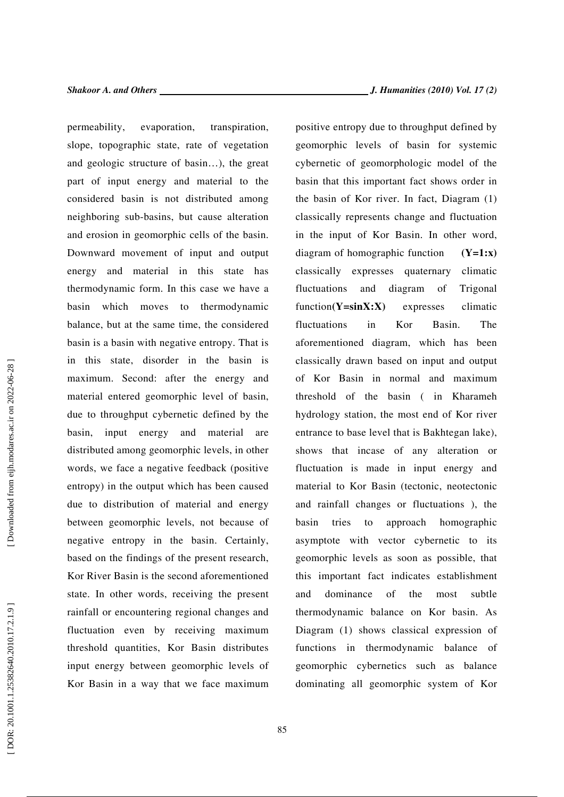permeability, evaporation, transpiration, slope, topographic state, rate of vegetation and geologic structure of basin…), the great part of input energy and material to the considered basin is not distributed among neighboring sub-basins, but cause alteration and erosion in geomorphic cells of the basin. Downward movement of input and output energy and material in this state has thermodynamic form. In this case we have a basin which moves to thermodynamic balance, but at the same time, the considered basin is a basin with negative entropy. That is in this state, disorder in the basin is maximum. Second: after the energy and material entered geomorphic level of basin, due to throughput cybernetic defined by the basin, input energy and material are distributed among geomorphic levels, in other words, we face a negative feedback (positive entropy) in the output which has been caused due to distribution of material and energy between geomorphic levels, not because of negative entropy in the basin. Certainly, based on the findings of the present research, Kor River Basin is the second aforementioned state. In other words, receiving the present rainfall or encountering regional changes and fluctuation even by receiving maximum threshold quantities, Kor Basin distributes input energy between geomorphic levels of Kor Basin in a way that we face maximum positive entropy due to throughput defined by geomorphic levels of basin for systemic cybernetic of geomorphologic model of the basin that this important fact shows order in the basin of Kor river. In fact, Diagram (1) classically represents change and fluctuation in the input of Kor Basin. In other word, diagram of homographic function **(Y=1:x)**  classically expresses quaternary climatic fluctuations and diagram of Trigonal function**(Y=sinX:X)** expresses climatic fluctuations in Kor Basin. The aforementioned diagram, which has been classically drawn based on input and output of Kor Basin in normal and maximum threshold of the basin ( in Kharameh hydrology station, the most end of Kor river entrance to base level that is Bakhtegan lake), shows that incase of any alteration or fluctuation is made in input energy and material to Kor Basin (tectonic, neotectonic and rainfall changes or fluctuations ), the basin tries to approach homographic asymptote with vector cybernetic to its geomorphic levels as soon as possible, that this important fact indicates establishment and dominance of the most subtle thermodynamic balance on Kor basin. As Diagram (1) shows classical expression of functions in thermodynamic balance of geomorphic cybernetics such as balance dominating all geomorphic system of Kor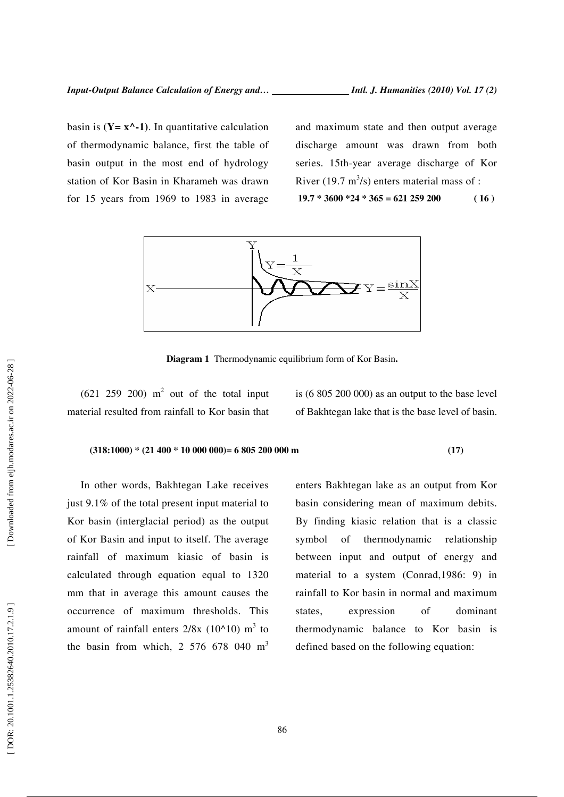of thermodynamic balance, first the table of basin output in the most end of hydrology station of Kor Basin in Kharameh was drawn for 15 years from 1969 to 1983 in average

basin is  $(Y = x^{\lambda} - 1)$ . In quantitative calculation

and maximum state and then output average discharge amount was drawn from both series. 15th-year average discharge of Kor River (19.7 m<sup>3</sup>/s) enters material mass of :  **19.7 \* 3600 \*24 \* 365 = 621 259 200 ( 16 )** 



 $\mathbf{1}$ 

**Diagram 1** Thermodynamic equilibrium form of Kor Basin **.**

 $(621 \t259 \t200)$  m<sup>2</sup> out of the total input material resulted from rainfall to Kor basin that

is (6 805 200 000) as an output to the base level of Bakhtegan lake that is the base level of basin.

#### **(318:1000) \* (21 400 \* 10 000 000)= 6 805 200 000 m (17)**

In other words, Bakhtegan Lake receives just 9.1% of the total present input material to Kor basin (interglacial period) as the output of Kor Basin and input to itself. The average rainfall of maximum kiasic of basin is calculated through equation equal to 1320 mm that in average this amount causes the occurrence of maximum thresholds. This amount of rainfall enters  $2/8x$  (10^10) m<sup>3</sup> to the basin from which, 2 576 678 040  $m<sup>3</sup>$ 

enters Bakhtegan lake as an output from Kor basin considering mean of maximum debits. By finding kiasic relation that is a classic symbol of thermodynamic relationship between input and output of energy and material to a system (Conrad,1986: 9) in rainfall to Kor basin in normal and maximum states, expression of dominant thermodynamic balance to Kor basin is defined based on the following equation: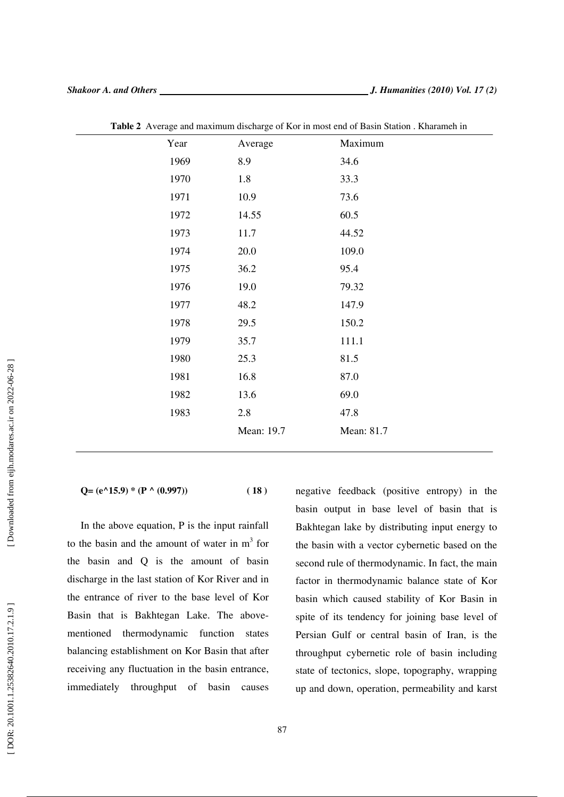| Year | Average    | Maximum    |
|------|------------|------------|
| 1969 | 8.9        | 34.6       |
| 1970 | 1.8        | 33.3       |
| 1971 | 10.9       | 73.6       |
| 1972 | 14.55      | 60.5       |
| 1973 | 11.7       | 44.52      |
| 1974 | 20.0       | 109.0      |
| 1975 | 36.2       | 95.4       |
| 1976 | 19.0       | 79.32      |
| 1977 | 48.2       | 147.9      |
| 1978 | 29.5       | 150.2      |
| 1979 | 35.7       | 111.1      |
| 1980 | 25.3       | 81.5       |
| 1981 | 16.8       | 87.0       |
| 1982 | 13.6       | 69.0       |
| 1983 | 2.8        | 47.8       |
|      | Mean: 19.7 | Mean: 81.7 |

**Table 2** Average and maximum discharge of Kor in most end of Basin Station . Kharameh in

 $Q = (e^{\lambda}15.9) * (P \wedge (0.997))$  (18)

In the above equation, P is the input rainfall to the basin and the amount of water in  $m<sup>3</sup>$  for the basin and Q is the amount of basin discharge in the last station of Kor River and in the entrance of river to the base level of Kor Basin that is Bakhtegan Lake. The abovementioned thermodynamic function states balancing establishment on Kor Basin that after receiving any fluctuation in the basin entrance, immediately throughput of basin causes

negative feedback (positive entropy) in the basin output in base level of basin that is Bakhtegan lake by distributing input energy to the basin with a vector cybernetic based on the second rule of thermodynamic. In fact, the main factor in thermodynamic balance state of Kor basin which caused stability of Kor Basin in spite of its tendency for joining base level of Persian Gulf or central basin of Iran, is the throughput cybernetic role of basin including state of tectonics, slope, topography, wrapping up and down, operation, permeability and karst

 $\overline{a}$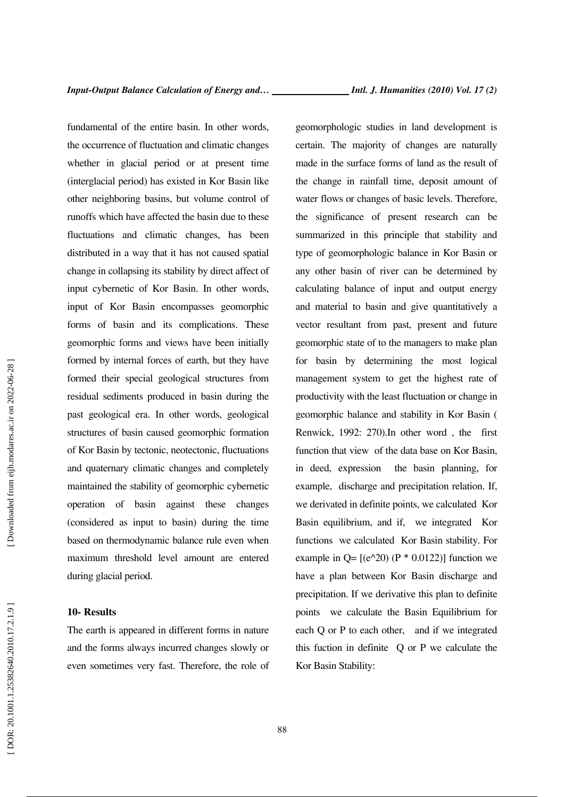fundamental of the entire basin. In other words, the occurrence of fluctuation and climatic changes whether in glacial period or at present time (interglacial period) has existed in Kor Basin like other neighboring basins, but volume control of runoffs which have affected the basin due to these fluctuations and climatic changes, has been distributed in a way that it has not caused spatial change in collapsing its stability by direct affect of input cybernetic of Kor Basin. In other words, input of Kor Basin encompasses geomorphic forms of basin and its complications. These geomorphic forms and views have been initially formed by internal forces of earth, but they have formed their special geological structures from residual sediments produced in basin during the past geological era. In other words, geological structures of basin caused geomorphic formation of Kor Basin by tectonic, neotectonic, fluctuations and quaternary climatic changes and completely maintained the stability of geomorphic cybernetic operation of basin against these changes (considered as input to basin) during the time based on thermodynamic balance rule even when maximum threshold level amount are entered during glacial period.

#### **10- Results**

The earth is appeared in different forms in nature and the forms always incurred changes slowly or even sometimes very fast. Therefore, the role of geomorphologic studies in land development is certain. The majority of changes are naturally made in the surface forms of land as the result of the change in rainfall time, deposit amount of water flows or changes of basic levels. Therefore, the significance of present research can be summarized in this principle that stability and type of geomorphologic balance in Kor Basin or any other basin of river can be determined by calculating balance of input and output energy and material to basin and give quantitatively a vector resultant from past, present and future geomorphic state of to the managers to make plan for basin by determining the most logical management system to get the highest rate of productivity with the least fluctuation or change in geomorphic balance and stability in Kor Basin ( Renwick, 1992: 270).In other word , the first function that view of the data base on Kor Basin, in deed, expression the basin planning, for example, discharge and precipitation relation. If, we derivated in definite points, we calculated Kor Basin equilibrium, and if, we integrated Kor functions we calculated Kor Basin stability. For example in  $Q = [(e^{\lambda}20) (P * 0.0122)]$  function we have a plan between Kor Basin discharge and precipitation. If we derivative this plan to definite points we calculate the Basin Equilibrium for each Q or P to each other, and if we integrated this fuction in definite Q or P we calculate the Kor Basin Stability: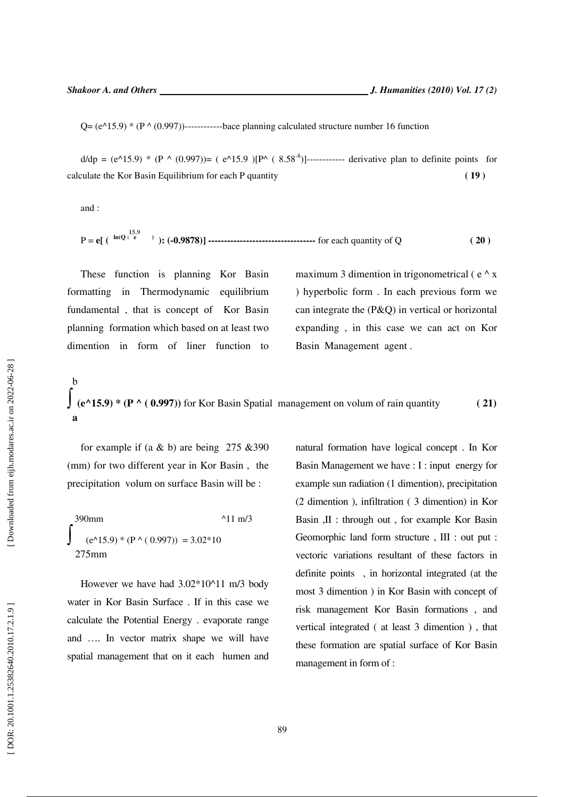**15.9** 

 $Q = (e^{\Lambda}15.9) * (P \Lambda (0.997))$ -------------bace planning calculated structure number 16 function

 $d/dp = (e^{A}15.9) * (P A (0.997)) = (e^{A}15.9) [P A (8.58<sup>-8</sup>)]$ ------------ derivative plan to definite points for calculate the Kor Basin Equilibrium for each P quantity **( 19 )** 

and :

$$
P = e[ (h^{ln(Q + \frac{15.9}{e})}) : (-0.9878)]
$$
 \n
$$
P = e[ (h^{ln(Q + \frac{15.9}{e})}) : (-0.9878)]
$$
 \n
$$
P = e[ (h^{ln(Q + \frac{15.9}{e})}) : (-0.9878)]
$$
 \n
$$
P = e[ (h^{ln(Q + \frac{15.9}{e})}) : (-0.9878)]
$$
 \n
$$
P = e[ (h^{ln(Q + \frac{15.9}{e})}) : (-0.9878)]
$$
 \n
$$
P = e[ (h^{ln(Q + \frac{15.9}{e})}) : (-0.9878)]
$$
 \n
$$
P = e[ (h^{ln(Q + \frac{15.9}{e})}) : (-0.9878)]
$$
 \n
$$
P = e[ (h^{ln(Q + \frac{15.9}{e})}) : (-0.9878)]
$$
 \n
$$
P = e[ (h^{ln(Q + \frac{15.9}{e})}) : (-0.9878)]
$$
 \n
$$
P = e[ (h^{ln(Q + \frac{15.9}{e})}) : (-0.9878)]
$$
 \n
$$
P = e[ (h^{ln(Q + \frac{15.9}{e})}) : (-0.9878)]
$$

These function is planning Kor Basin formatting in Thermodynamic equilibrium fundamental , that is concept of Kor Basin planning formation which based on at least two dimention in form of liner function to maximum 3 dimention in trigonometrical ( $e^{\Lambda}$  x ) hyperbolic form . In each previous form we can integrate the (P&Q) in vertical or horizontal expanding , in this case we can act on Kor Basin Management agent .

$$
\int_{(e^{\Lambda} 15.9)^*}^{b} (P^{\Lambda} (0.997))
$$
 for Kor Basin Spatial management on volume of rain quantity (21)

for example if (a  $\&$  b) are being 275  $\&$ 390 (mm) for two different year in Kor Basin , the precipitation volum on surface Basin will be :

| 390mm                                                  | $^{\prime}$ 11 m/3 |
|--------------------------------------------------------|--------------------|
| $(e^{\Lambda}15.9) * (P^{\Lambda}(0.997)) = 3.02 * 10$ |                    |
| $275$ mm                                               |                    |

However we have had 3.02\*10^11 m/3 body water in Kor Basin Surface . If in this case we calculate the Potential Energy . evaporate range and …. In vector matrix shape we will have spatial management that on it each humen and natural formation have logical concept . In Kor Basin Management we have : I : input energy for example sun radiation (1 dimention), precipitation (2 dimention ), infiltration ( 3 dimention) in Kor Basin ,II : through out , for example Kor Basin Geomorphic land form structure , III : out put : vectoric variations resultant of these factors in definite points , in horizontal integrated (at the most 3 dimention ) in Kor Basin with concept of risk management Kor Basin formations , and vertical integrated ( at least 3 dimention ) , that these formation are spatial surface of Kor Basin management in form of :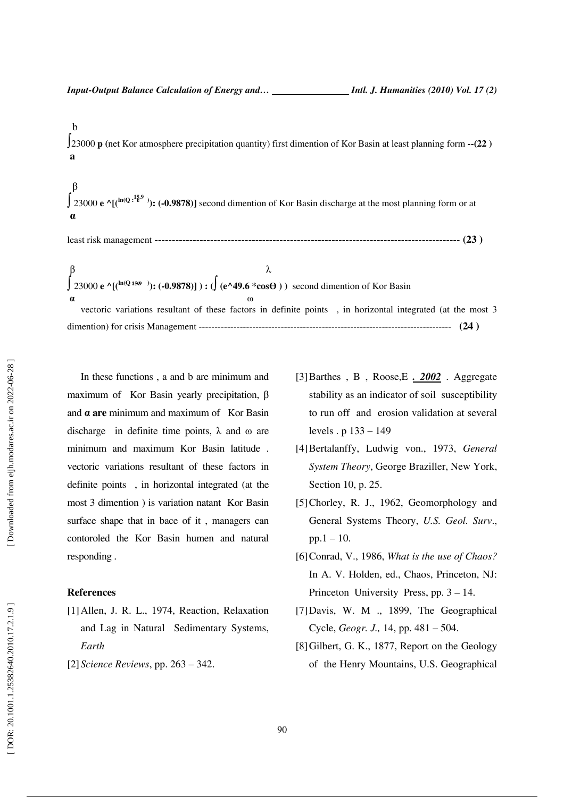### b ∫23000 **p (**net Kor atmosphere precipitation quantity) first dimention of Kor Basin at least planning form **--(22 ) a**

**15.9**  β ∫ <sup>23000</sup> **e ^[(ln(Q : e )): (-0.9878)]** second dimention of Kor Basin discharge at the most planning form or atα

least risk management ---------------------------------------------------------------------------------------- **(23 )** 

**15.9**   $\beta$   $\lambda$ ∫ <sup>23000</sup> **e ^[(ln(Q : e )): (-0.9878)] ) : (**∫ **(e^49.6 \*cos**Ө **) )** second dimention of Kor Basin  $\alpha$  ω vectoric variations resultant of these factors in definite points , in horizontal integrated (at the most 3 dimention) for crisis Management -------------------------------------------------------------------------------- **(24 )** 

In these functions , a and b are minimum and maximum of Kor Basin yearly precipitation, β and α **are** minimum and maximum of Kor Basin discharge in definite time points,  $\lambda$  and  $\omega$  are minimum and maximum Kor Basin latitude . vectoric variations resultant of these factors in definite points , in horizontal integrated (at the most 3 dimention ) is variation natant Kor Basin surface shape that in bace of it , managers can contoroled the Kor Basin humen and natural responding .

#### **References**

- [1]Allen, J. R. L., 1974, Reaction, Relaxation and Lag in Natural Sedimentary Systems, *Earth*
- [2]*Science Reviews*, pp. 263 342.
- [3]Barthes , B , Roose,E *. 2002* . Aggregate stability as an indicator of soil susceptibility to run off and erosion validation at several levels . p 133 – 149
- [4]Bertalanffy, Ludwig von., 1973, *General System Theory*, George Braziller, New York, Section 10, p. 25.
- [5]Chorley, R. J., 1962, Geomorphology and General Systems Theory, *U.S. Geol. Surv*.,  $pp.1 - 10$ .
- [6]Conrad, V., 1986, *What is the use of Chaos?* In A. V. Holden, ed., Chaos, Princeton, NJ: Princeton University Press, pp. 3 – 14.
- [7]Davis, W. M ., 1899, The Geographical Cycle, *Geogr. J.,* 14, pp. 481 – 504.
- [8]Gilbert, G. K., 1877, Report on the Geology of the Henry Mountains, U.S. Geographical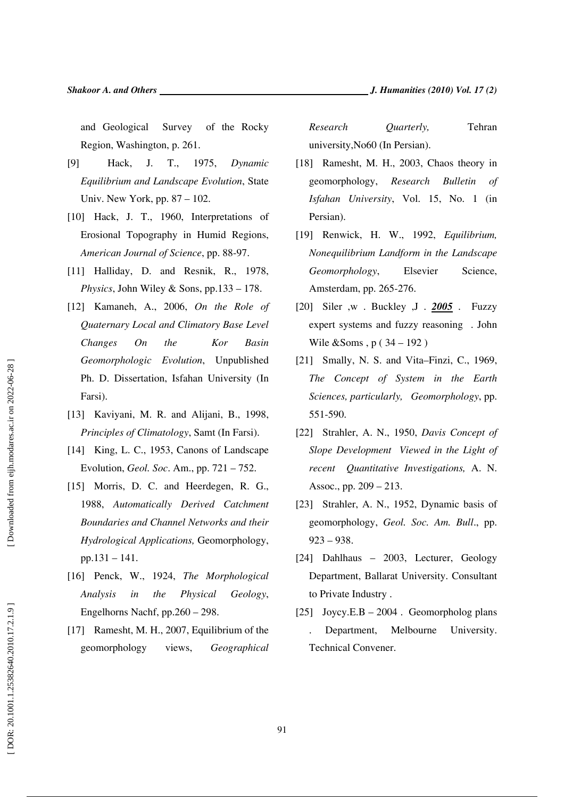and Geological Survey of the Rocky Region, Washington, p. 261.

- [9] Hack, J. T., 1975, *Dynamic Equilibrium and Landscape Evolution*, State Univ. New York, pp. 87 – 102.
- [10] Hack, J. T., 1960, Interpretations of Erosional Topography in Humid Regions, *American Journal of Science*, pp. 88-97.
- [11] Halliday, D. and Resnik, R., 1978, *Physics*, John Wiley & Sons, pp.133 – 178.
- [12] Kamaneh, A., 2006, *On the Role of Quaternary Local and Climatory Base Level Changes On the Kor Basin Geomorphologic Evolution*, Unpublished Ph. D. Dissertation, Isfahan University (In Farsi).
- [13] Kaviyani, M. R. and Alijani, B., 1998, *Principles of Climatology*, Samt (In Farsi).
- [14] King, L. C., 1953, Canons of Landscape Evolution, *Geol. Soc*. Am., pp. 721 – 752.
- [15] Morris, D. C. and Heerdegen, R. G., 1988, *Automatically Derived Catchment Boundaries and Channel Networks and their Hydrological Applications,* Geomorphology, pp.131 – 141.
- [16] Penck, W., 1924, *The Morphological Analysis in the Physical Geology*, Engelhorns Nachf, pp.260 – 298.
- [17] Ramesht, M. H., 2007, Equilibrium of the geomorphology views, *Geographical*

*Research Quarterly,* Tehran university,No60 (In Persian).

- [18] Ramesht, M. H., 2003, Chaos theory in geomorphology, *Research Bulletin of Isfahan University*, Vol. 15, No. 1 (in Persian).
- [19] Renwick, H. W., 1992, *Equilibrium, Nonequilibrium Landform in the Landscape Geomorphology*, Elsevier Science, Amsterdam, pp. 265-276.
- [20] Siler ,w . Buckley ,J . *2005* . Fuzzy expert systems and fuzzy reasoning . John Wile &Soms , p ( 34 – 192 )
- [21] Smally, N. S. and Vita–Finzi, C., 1969, *The Concept of System in the Earth Sciences, particularly, Geomorphology*, pp. 551-590.
- [22] Strahler, A. N., 1950, *Davis Concept of Slope Development Viewed in the Light of recent Quantitative Investigations,* A. N. Assoc., pp. 209 – 213.
- [23] Strahler, A. N., 1952, Dynamic basis of geomorphology, *Geol. Soc. Am. Bull*., pp. 923 – 938.
- [24] Dahlhaus 2003, Lecturer, Geology Department, Ballarat University. Consultant to Private Industry .
- [25] Joycy.E.B 2004 . Geomorpholog plans . Department, Melbourne University. Technical Convener.